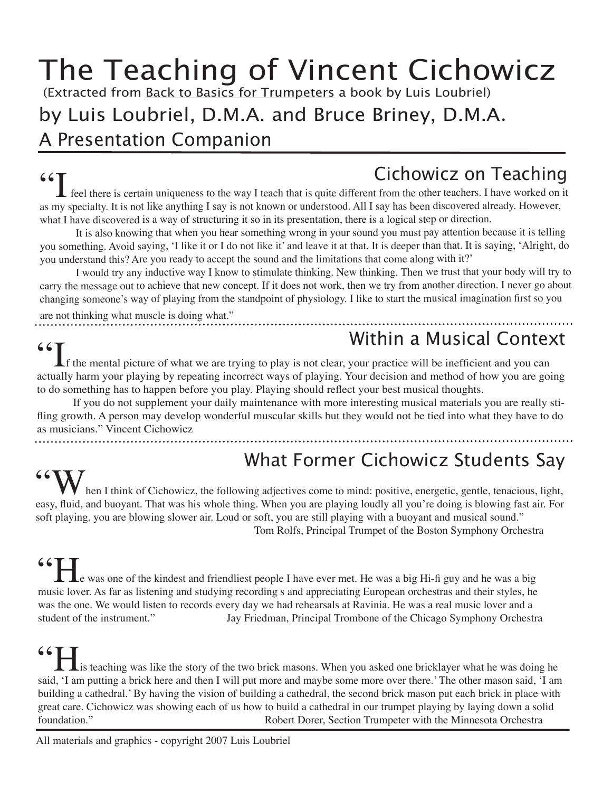# The Teaching of Vincent Cichowicz

(Extracted from Back to Basics for Trumpeters a book by Luis Loubriel)

### by Luis Loubriel, D.M.A. and Bruce Briney, D.M.A.

A Presentation Companion

# Cichowicz on Teaching

**CICHOWICZ ON TEACHING**<br> **EXECUTE:** feel there is certain uniqueness to the way I teach that is quite different from the other teachers. I have worked on it as my specialty. It is not like anything I say is not known or understood. All I say has been discovered already. However, what I have discovered is a way of structuring it so in its presentation, there is a logical step or direction.

It is also knowing that when you hear something wrong in your sound you must pay attention because it is telling you something. Avoid saying, 'I like it or I do not like it' and leave it at that. It is deeper than that. It is saying, 'Alright, do you understand this? Are you ready to accept the sound and the limitations that come along with it?'

I would try any inductive way I know to stimulate thinking. New thinking. Then we trust that your body will try to carry the message out to achieve that new concept. If it does not work, then we try from another direction. I never go about changing someone's way of playing from the standpoint of physiology. I like to start the musical imagination first so you

are not thinking what muscle is doing what."

### Within a Musical Context

If the mental picture of what we are trying to play is not clear, your practice will be inefficient and you can actually harm your playing by repeating incorrect ways of playing. Your decision and method of how you are going to do something has to happen before you play. Playing should reflect your best musical thoughts.

If you do not supplement your daily maintenance with more interesting musical materials you are really stifling growth. A person may develop wonderful muscular skills but they would not be tied into what they have to do as musicians." Vincent Cichowicz

### What Former Cichowicz Students Say

hen I think of Cichowicz, the following adjectives come to mind: positive, energetic, gentle, tenacious, light, easy, fluid, and buoyant. That was his whole thing. When you are playing loudly all you're doing is blowing fast air. For soft playing, you are blowing slower air. Loud or soft, you are still playing with a buoyant and musical sound." Tom Rolfs, Principal Trumpet of the Boston Symphony Orchestra

**66 He** was one of the kindest and friendliest people I have ever met. He was a big Hi-fi guy and he was a big  $\frac{1}{2}$ music lover. As far as listening and studying recording s and appreciating European orchestras and their styles, he was the one. We would listen to records every day we had rehearsals at Ravinia. He was a real music lover and a student of the instrument." Jay Friedman, Principal Trombone of the Chicago Symphony Orchestra

 $\blacksquare$  is teaching was like the story of the two brick masons. When you asked one bricklayer what he was doing he said, 'I am putting a brick here and then I will put more and maybe some more over there.' The other mason said, 'I am building a cathedral.' By having the vision of building a cathedral, the second brick mason put each brick in place with great care. Cichowicz was showing each of us how to build a cathedral in our trumpet playing by laying down a solid foundation." Robert Dorer, Section Trumpeter with the Minnesota Orchestra

All materials and graphics - copyright 2007 Luis Loubriel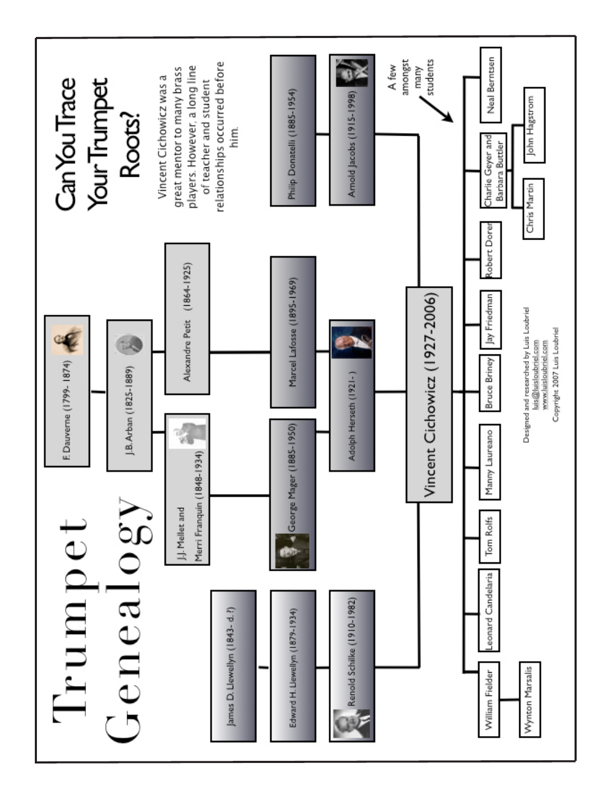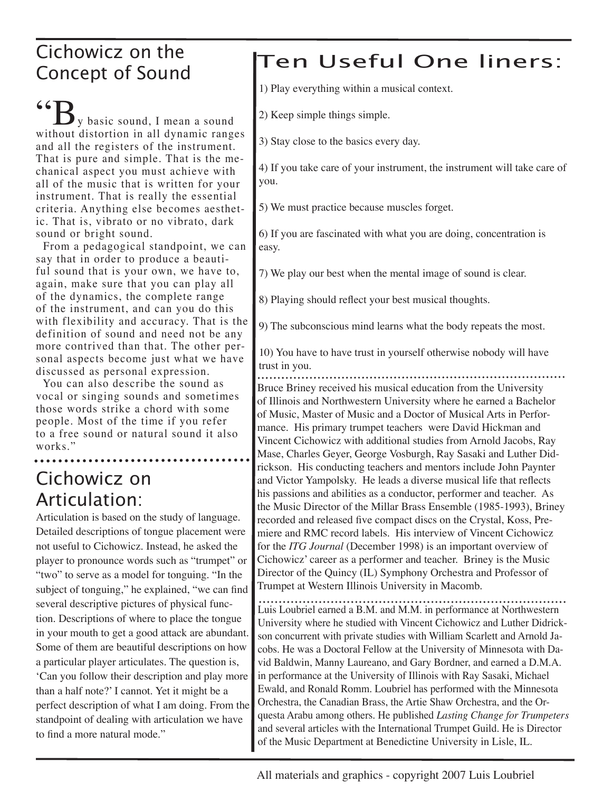### Cichowicz on the Concept of Sound

 $\mathbf{G}_{\mathbf{S}}$ y basic sound, I mean a sound without distortion in all dynamic ranges and all the registers of the instrument. That is pure and simple. That is the mechanical aspect you must achieve with all of the music that is written for your instrument. That is really the essential criteria. Anything else becomes aesthetic. That is, vibrato or no vibrato, dark sound or bright sound.

 From a pedagogical standpoint, we can say that in order to produce a beautiful sound that is your own, we have to, again, make sure that you can play all of the dynamics, the complete range of the instrument, and can you do this with flexibility and accuracy. That is the definition of sound and need not be any more contrived than that. The other personal aspects become just what we have discussed as personal expression.

 You can also describe the sound as vocal or singing sounds and sometimes those words strike a chord with some people. Most of the time if you refer to a free sound or natural sound it also works."

### Cichowicz on Articulation:

Articulation is based on the study of language. Detailed descriptions of tongue placement were not useful to Cichowicz. Instead, he asked the player to pronounce words such as "trumpet" or "two" to serve as a model for tonguing. "In the subject of tonguing," he explained, "we can find several descriptive pictures of physical function. Descriptions of where to place the tongue in your mouth to get a good attack are abundant. Some of them are beautiful descriptions on how a particular player articulates. The question is, 'Can you follow their description and play more than a half note?' I cannot. Yet it might be a perfect description of what I am doing. From the standpoint of dealing with articulation we have to find a more natural mode."

## Ten Useful One liners:

1) Play everything within a musical context.

2) Keep simple things simple.

3) Stay close to the basics every day.

4) If you take care of your instrument, the instrument will take care of you.

5) We must practice because muscles forget.

6) If you are fascinated with what you are doing, concentration is easy.

7) We play our best when the mental image of sound is clear.

8) Playing should reflect your best musical thoughts.

9) The subconscious mind learns what the body repeats the most.

10) You have to have trust in yourself otherwise nobody will have trust in you.

Bruce Briney received his musical education from the University of Illinois and Northwestern University where he earned a Bachelor of Music, Master of Music and a Doctor of Musical Arts in Performance. His primary trumpet teachers were David Hickman and Vincent Cichowicz with additional studies from Arnold Jacobs, Ray Mase, Charles Geyer, George Vosburgh, Ray Sasaki and Luther Didrickson. His conducting teachers and mentors include John Paynter and Victor Yampolsky. He leads a diverse musical life that reflects his passions and abilities as a conductor, performer and teacher. As the Music Director of the Millar Brass Ensemble (1985-1993), Briney recorded and released five compact discs on the Crystal, Koss, Premiere and RMC record labels. His interview of Vincent Cichowicz for the *ITG Journal* (December 1998) is an important overview of Cichowicz' career as a performer and teacher. Briney is the Music Director of the Quincy (IL) Symphony Orchestra and Professor of Trumpet at Western Illinois University in Macomb.

Luis Loubriel earned a B.M. and M.M. in performance at Northwestern University where he studied with Vincent Cichowicz and Luther Didrickson concurrent with private studies with William Scarlett and Arnold Jacobs. He was a Doctoral Fellow at the University of Minnesota with David Baldwin, Manny Laureano, and Gary Bordner, and earned a D.M.A. in performance at the University of Illinois with Ray Sasaki, Michael Ewald, and Ronald Romm. Loubriel has performed with the Minnesota Orchestra, the Canadian Brass, the Artie Shaw Orchestra, and the Orquesta Arabu among others. He published *Lasting Change for Trumpeters* and several articles with the International Trumpet Guild. He is Director of the Music Department at Benedictine University in Lisle, IL.